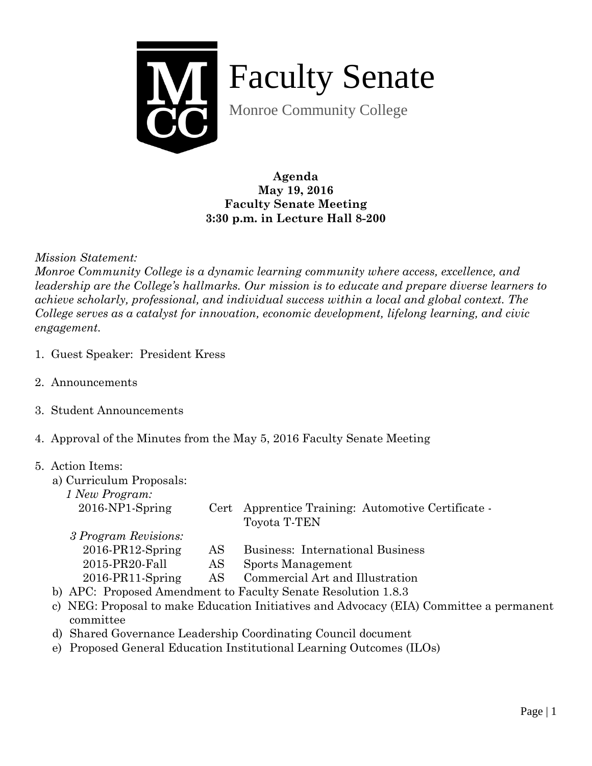

Faculty Senate

Monroe Community College

**Agenda May 19, 2016 Faculty Senate Meeting 3:30 p.m. in Lecture Hall 8-200**

*Mission Statement:* 

*Monroe Community College is a dynamic learning community where access, excellence, and leadership are the College's hallmarks. Our mission is to educate and prepare diverse learners to achieve scholarly, professional, and individual success within a local and global context. The College serves as a catalyst for innovation, economic development, lifelong learning, and civic engagement.*

- 1. Guest Speaker: President Kress
- 2. Announcements
- 3. Student Announcements
- 4. Approval of the Minutes from the May 5, 2016 Faculty Senate Meeting

## 5. Action Items:

- a) Curriculum Proposals:
	- *1 New Program:*

| $2016-NP1-Spring$    |     | Cert Apprentice Training: Automotive Certificate -<br>Toyota T-TEN |
|----------------------|-----|--------------------------------------------------------------------|
| 3 Program Revisions: |     |                                                                    |
| $2016$ -PR12-Spring  | AS. | Business: International Business                                   |
| 2015-PR20-Fall       | AS. | Sports Management                                                  |

- 2016-PR11-Spring AS Commercial Art and Illustration
- b) APC: Proposed Amendment to Faculty Senate Resolution 1.8.3
- c) NEG: Proposal to make Education Initiatives and Advocacy (EIA) Committee a permanent committee
- d) Shared Governance Leadership Coordinating Council document
- e) Proposed General Education Institutional Learning Outcomes (ILOs)